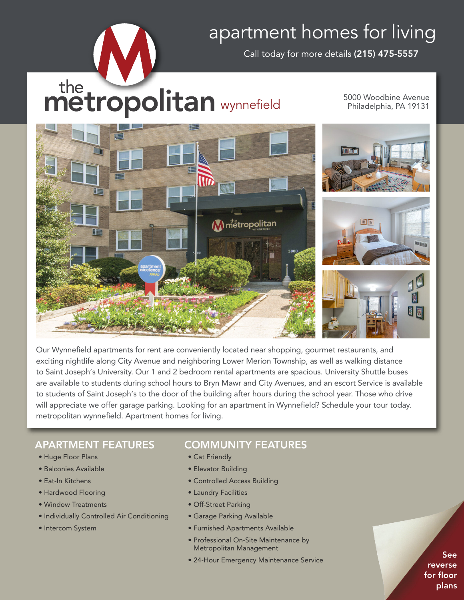# apartment homes for living

Call today for more details **(215) 475-5557**

# the **metropolitan** wynnefield

5000 Woodbine Avenue Philadelphia, PA 19131



Our Wynnefield apartments for rent are conveniently located near shopping, gourmet restaurants, and exciting nightlife along City Avenue and neighboring Lower Merion Township, as well as walking distance to Saint Joseph's University. Our 1 and 2 bedroom rental apartments are spacious. University Shuttle buses are available to students during school hours to Bryn Mawr and City Avenues, and an escort Service is available to students of Saint Joseph's to the door of the building after hours during the school year. Those who drive will appreciate we offer garage parking. Looking for an apartment in Wynnefield? Schedule your tour today. metropolitan wynnefield. Apartment homes for living.

## **APARTMENT FEATURES**

- Huge Floor Plans
- Balconies Available
- Eat-In Kitchens
- Hardwood Flooring
- Window Treatments
- Individually Controlled Air Conditioning
- Intercom System

## **COMMUNITY FEATURES**

- Cat Friendly
- Elevator Building
- Controlled Access Building
- Laundry Facilities
- Off-Street Parking
- Garage Parking Available
- Furnished Apartments Available
- Professional On-Site Maintenance by Metropolitan Management
- 24-Hour Emergency Maintenance Service

**See reverse for floor plans**